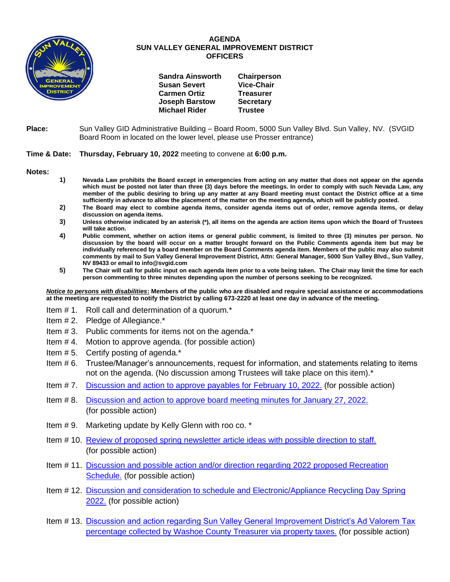

## **AGENDA SUN VALLEY GENERAL IMPROVEMENT DISTRICT OFFICERS**

| <b>Sandra Ainsworth</b> | Chairperson       |
|-------------------------|-------------------|
| <b>Susan Severt</b>     | <b>Vice-Chair</b> |
| <b>Carmen Ortiz</b>     | <b>Treasurer</b>  |
| <b>Joseph Barstow</b>   | <b>Secretary</b>  |
| <b>Michael Rider</b>    | <b>Trustee</b>    |

**Place:** Sun Valley GID Administrative Building – Board Room, 5000 Sun Valley Blvd. Sun Valley, NV. (SVGID Board Room in located on the lower level, please use Prosser entrance)

## **Time & Date: Thursday, February 10, 2022** meeting to convene at **6:00 p.m.**

**Notes:**

- **1) Nevada Law prohibits the Board except in emergencies from acting on any matter that does not appear on the agenda which must be posted not later than three (3) days before the meetings. In order to comply with such Nevada Law, any member of the public desiring to bring up any matter at any Board meeting must contact the District office at a time sufficiently in advance to allow the placement of the matter on the meeting agenda, which will be publicly posted.**
- **2) The Board may elect to combine agenda items, consider agenda items out of order, remove agenda items, or delay discussion on agenda items.**
- **3) Unless otherwise indicated by an asterisk (\*), all items on the agenda are action items upon which the Board of Trustees will take action.**
- **4) Public comment, whether on action items or general public comment, is limited to three (3) minutes per person. No discussion by the board will occur on a matter brought forward on the Public Comments agenda item but may be individually referenced by a board member on the Board Comments agenda item. Members of the public may also submit comments by mail to Sun Valley General Improvement District, Attn: General Manager, 5000 Sun Valley Blvd., Sun Valley, NV 89433 or email to info@svgid.com**
- **5) The Chair will call for public input on each agenda item prior to a vote being taken. The Chair may limit the time for each person commenting to three minutes depending upon the number of persons seeking to be recognized.**

*Notice to persons with disabilities***: Members of the public who are disabled and require special assistance or accommodations at the meeting are requested to notify the District by calling 673-2220 at least one day in advance of the meeting.**

- Item # 1. Roll call and determination of a quorum.\*
- Item # 2. Pledge of Allegiance.\*
- Item # 3. Public comments for items not on the agenda.\*
- Item # 4. Motion to approve agenda. (for possible action)
- Item # 5. Certify posting of agenda.\*
- Item # 6. Trustee/Manager's announcements, request for information, and statements relating to items not on the agenda. (No discussion among Trustees will take place on this item).\*
- Item # 7. [Discussion and action to approve payables](https://www.svgid.com/wp-content/uploads/021022_AgendaItem07.pdf) for February 10, 2022. (for possible action)
- Item # 8. [Discussion and action to approve board meeting minutes for](https://www.svgid.com/wp-content/uploads/021022_AgendaItem08.pdf) January 27, 2022. (for possible action)
- Item # 9. Marketing update by Kelly Glenn with roo co. \*
- Item # 10. [Review of proposed spring newsletter article ideas with possible direction to staff.](https://www.svgid.com/wp-content/uploads/021022_AgendaItem10.pdf) (for possible action)
- Item # 11. [Discussion and possible action and/or direction regarding 2022 proposed Recreation](https://www.svgid.com/wp-content/uploads/021022_AgendaItem11.pdf)  [Schedule.](https://www.svgid.com/wp-content/uploads/021022_AgendaItem11.pdf) (for possible action)
- Item # 12. [Discussion and consideration to schedule and Electronic/Appliance Recycling Day Spring](https://www.svgid.com/wp-content/uploads/021022_AgendaItem12.pdf)  [2022.](https://www.svgid.com/wp-content/uploads/021022_AgendaItem12.pdf) (for possible action)
- Item # 13. [Discussion and action regarding Sun Valley General Improvement District's Ad Valorem Tax](https://www.svgid.com/wp-content/uploads/021022_AgendaItem13.pdf)  [percentage collected by Washoe County Treasurer via property taxes.](https://www.svgid.com/wp-content/uploads/021022_AgendaItem13.pdf) (for possible action)